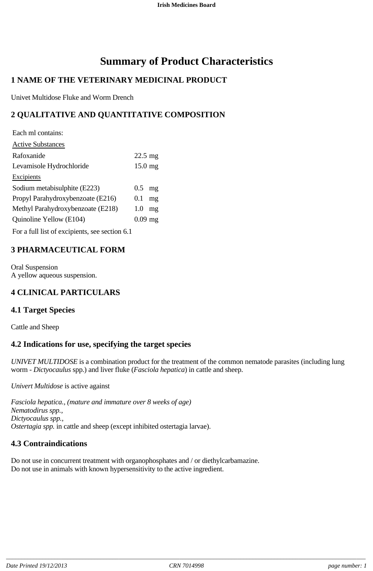# **Summary of Product Characteristics**

# **1 NAME OF THE VETERINARY MEDICINAL PRODUCT**

Univet Multidose Fluke and Worm Drench

# **2 QUALITATIVE AND QUANTITATIVE COMPOSITION**

| Each ml contains:                 |                   |    |
|-----------------------------------|-------------------|----|
| <b>Active Substances</b>          |                   |    |
| Rafoxanide                        | $22.5 \text{ mg}$ |    |
| Levamisole Hydrochloride          | $15.0 \text{ mg}$ |    |
| <b>Excipients</b>                 |                   |    |
| Sodium metabisulphite (E223)      | 0.5               | mg |
| Propyl Parahydroxybenzoate (E216) | $0.1\,$           | mg |
| Methyl Parahydroxybenzoate (E218) | 1.0               | mg |
| Quinoline Yellow (E104)           | $0.09$ mg         |    |
| $\mathbf{r}$ cut c $\mathbf{r}$   |                   |    |

For a full list of excipients, see section 6.1

# **3 PHARMACEUTICAL FORM**

Oral Suspension A yellow aqueous suspension.

# **4 CLINICAL PARTICULARS**

### **4.1 Target Species**

Cattle and Sheep

# **4.2 Indications for use, specifying the target species**

*UNIVET MULTIDOSE* is a combination product for the treatment of the common nematode parasites (including lung worm - *Dictyocaulus* spp.) and liver fluke (*Fasciola hepatica*) in cattle and sheep.

*Univert Multidose* is active against

*Fasciola hepatica., (mature and immature over 8 weeks of age) Nematodirus spp., Dictyocaulus spp., Ostertagia spp.* in cattle and sheep (except inhibited ostertagia larvae).

# **4.3 Contraindications**

Do not use in concurrent treatment with organophosphates and / or diethylcarbamazine. Do not use in animals with known hypersensitivity to the active ingredient.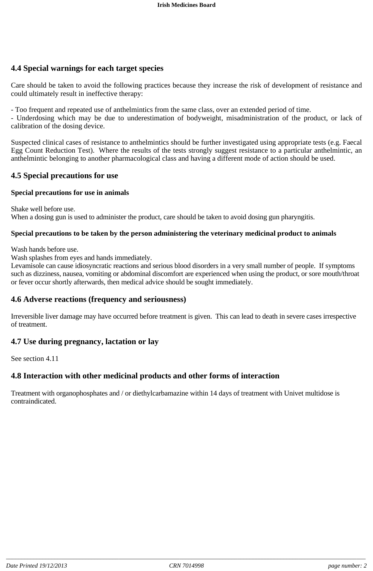# **4.4 Special warnings for each target species**

Care should be taken to avoid the following practices because they increase the risk of development of resistance and could ultimately result in ineffective therapy:

- Too frequent and repeated use of anthelmintics from the same class, over an extended period of time.

- Underdosing which may be due to underestimation of bodyweight, misadministration of the product, or lack of calibration of the dosing device.

Suspected clinical cases of resistance to anthelmintics should be further investigated using appropriate tests (e.g. Faecal Egg Count Reduction Test). Where the results of the tests strongly suggest resistance to a particular anthelmintic, an anthelmintic belonging to another pharmacological class and having a different mode of action should be used.

### **4.5 Special precautions for use**

#### **Special precautions for use in animals**

Shake well before use.

When a dosing gun is used to administer the product, care should be taken to avoid dosing gun pharyngitis.

#### **Special precautions to be taken by the person administering the veterinary medicinal product to animals**

Wash hands before use.

Wash splashes from eyes and hands immediately.

Levamisole can cause idiosyncratic reactions and serious blood disorders in a very small number of people. If symptoms such as dizziness, nausea, vomiting or abdominal discomfort are experienced when using the product, or sore mouth/throat or fever occur shortly afterwards, then medical advice should be sought immediately.

### **4.6 Adverse reactions (frequency and seriousness)**

Irreversible liver damage may have occurred before treatment is given. This can lead to death in severe cases irrespective of treatment.

# **4.7 Use during pregnancy, lactation or lay**

See section 4.11

### **4.8 Interaction with other medicinal products and other forms of interaction**

Treatment with organophosphates and / or diethylcarbamazine within 14 days of treatment with Univet multidose is contraindicated.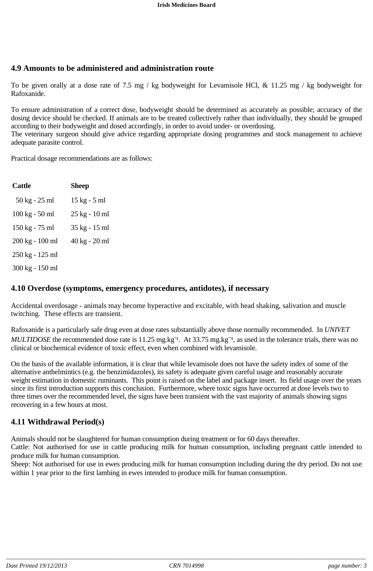# **4.9 Amounts to be administered and administration route**

To be given orally at a dose rate of 7.5 mg / kg bodyweight for Levamisole HCl, & 11.25 mg / kg bodyweight for Rafoxanide.

To ensure administration of a correct dose, bodyweight should be determined as accurately as possible; accuracy of the dosing device should be checked. If animals are to be treated collectively rather than individually, they should be grouped according to their bodyweight and dosed accordingly, in order to avoid under- or overdosing.

The veterinary surgeon should give advice regarding appropriate dosing programmes and stock management to achieve adequate parasite control.

Practical dosage recommendations are as follows:

| <b>Cattle</b>                    | Sheep         |
|----------------------------------|---------------|
| 50 kg - 25 ml                    | 15 kg - 5 ml  |
| $100 \text{ kg} - 50 \text{ ml}$ | 25 kg - 10 ml |
| 150 kg - 75 ml                   | 35 kg - 15 ml |
| 200 kg - 100 ml                  | 40 kg - 20 ml |
| 250 kg - 125 ml                  |               |
| 300 kg - 150 ml                  |               |

### **4.10 Overdose (symptoms, emergency procedures, antidotes), if necessary**

Accidental overdosage - animals may become hyperactive and excitable, with head shaking, salivation and muscle twitching. These effects are transient.

Rafoxanide is a particularly safe drug even at dose rates substantially above those normally recommended. In *UNIVET MULTIDOSE* the recommended dose rate is 11.25 mg.kg<sup>-1</sup>. At 33.75 mg.kg<sup>-1</sup>, as used in the tolerance trials, there was no clinical or biochemical evidence of toxic effect, even when combined with levamisole.

On the basis of the available information, it is clear that while levamisole does not have the safety index of some of the alternative anthelmintics (e.g. the benzimidazoles), its safety is adequate given careful usage and reasonably accurate weight estimation in domestic ruminants. This point is raised on the label and package insert. Its field usage over the years since its first introduction supports this conclusion. Furthermore, where toxic signs have occurred at dose levels two to three times over the recommended level, the signs have been transient with the vast majority of animals showing signs recovering in a few hours at most.

### **4.11 Withdrawal Period(s)**

Animals should not be slaughtered for human consumption during treatment or for 60 days thereafter.

Cattle: Not authorised for use in cattle producing milk for human consumption, including pregnant cattle intended to produce milk for human consumption.

Sheep: Not authorised for use in ewes producing milk for human consumption including during the dry period. Do not use within 1 year prior to the first lambing in ewes intended to produce milk for human consumption.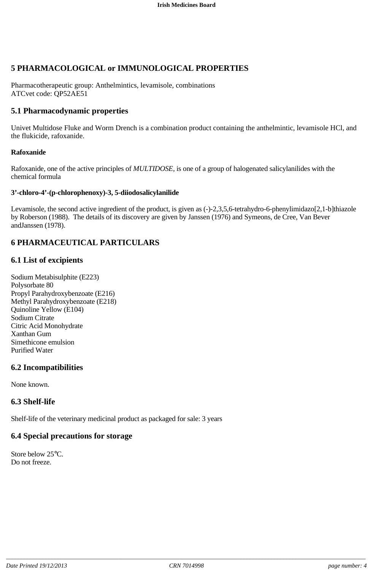# **5 PHARMACOLOGICAL or IMMUNOLOGICAL PROPERTIES**

Pharmacotherapeutic group: Anthelmintics, levamisole, combinations ATCvet code: QP52AE51

# **5.1 Pharmacodynamic properties**

Univet Multidose Fluke and Worm Drench is a combination product containing the anthelmintic, levamisole HCl, and the flukicide, rafoxanide.

#### **Rafoxanide**

Rafoxanide, one of the active principles of *MULTIDOSE,* is one of a group of halogenated salicylanilides with the chemical formula

#### **3'-chloro-4'-(p-chlorophenoxy)-3, 5-diiodosalicylanilide**

Levamisole, the second active ingredient of the product, is given as (-)-2,3,5,6-tetrahydro-6-phenylimidazo[2,1-b]thiazole by Roberson (1988). The details of its discovery are given by Janssen (1976) and Symeons, de Cree, Van Bever andJanssen (1978).

# **6 PHARMACEUTICAL PARTICULARS**

### **6.1 List of excipients**

Sodium Metabisulphite (E223) Polysorbate 80 Propyl Parahydroxybenzoate (E216) Methyl Parahydroxybenzoate (E218) Quinoline Yellow (E104) Sodium Citrate Citric Acid Monohydrate Xanthan Gum Simethicone emulsion Purified Water

# **6.2 Incompatibilities**

None known.

# **6.3 Shelf-life**

Shelf-life of the veterinary medicinal product as packaged for sale: 3 years

# **6.4 Special precautions for storage**

Store below 25°C. Do not freeze.